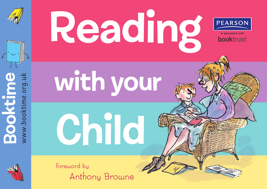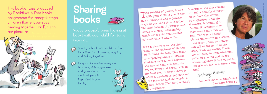



Sometimes the illustrations will tell a slightly different story from the words, by suggesting what the character is thinking or feeling. Sometimes they may even contradict the text. The way an artist places characters in a scene, uses colour, light and shade, can tell us far more of the story than the words. These are all clues to understanding, to be discovered and talked about, together. It is a valuable experience, for both parent and child.<br>Arthony Browne

With a picture book the child looks at the pictures while the adult reads the text. This leads  $\lambda$  to surprising and stimulating shared conversations between the two, as text and pictures  $^{\backprime}$  are explored and pored over. In the best picture books there is often a mysterious gap between the pictures and the words, a sap that is filled by the child's imagination.

Anthony Browne, Children's Laureate 2009-11

# Sharing books

This booklet was produced by Booktime, a free books programme for reception-age children that encourages reading together for fun and for pleasure. For more information,

> Sharing a book with a child is fun. It's a time for closeness, laughing and talking together.



It's good to involve everyone –  $\mathbb{Q}$ brothers, sisters, grannies and granddads - the circle of people important in your family.

The reading of picture books with your child is one of the most important and enjoyable ways of spending time together. The combination of pictures and words is a close relationship, which echoes the relationship between parent and child.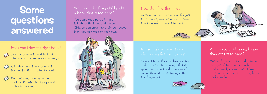## **Some** questions answered

### Is it all right to read to my child in my first language?

### What do I do if my child picks a book that is too hard?

It's great for children to hear stories and rhymes in the language that is spoken at home. Children are much better than adults at dealing with two languages.





You could read part of it and talk about the ideas and pictures. Children can enjoy more difficult books than they can read on their own.

#### How do I find the time?

Getting together with a book for just ten to twenty minutes a day, or several times a week, is a great support.



Why is my child taking longer than others to read?

Most children learn to read between the ages of four and seven, but children really do learn at different rates. What matters is that they know books are fun.



#### How can I find the right book?

- Listen to your child and find out what sort of books he or she enjoys.
- 
- Ask other parents and your child's teacher for tips on what to read.